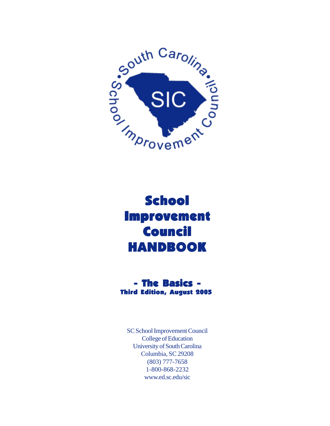

# **School Improvement Council HANDBOOK**

### - The Basics - - The - Third Edition, August 2005

SC School Improvement Council College of Education University of South Carolina Columbia, SC 29208 (803) 777-7658 1-800-868-2232 www.ed.sc.edu/sic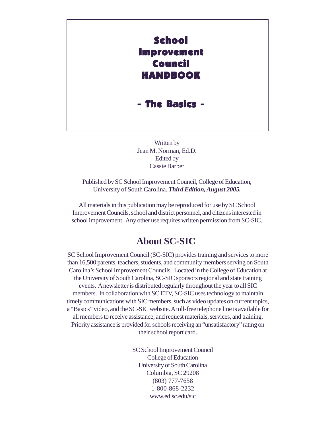

Written by Jean M. Norman, Ed.D. Edited by Cassie Barber

Published by SC School Improvement Council, College of Education, University of South Carolina. *Third Edition, August 2005.*

All materials in this publication may be reproduced for use by SC School Improvement Councils, school and district personnel, and citizens interested in school improvement. Any other use requires written permission from SC-SIC.

# **About SC-SIC**

SC School Improvement Council (SC-SIC) provides training and services to more than 16,500 parents, teachers, students, and community members serving on South Carolina's School Improvement Councils. Located in the College of Education at the University of South Carolina, SC-SIC sponsors regional and state training events. A newsletter is distributed regularly throughout the year to all SIC members. In collaboration with SC ETV, SC-SIC uses technology to maintain timely communications with SIC members, such as video updates on current topics, a "Basics" video, and the SC-SIC website. A toll-free telephone line is available for all members to receive assistance, and request materials, services, and training. Priority assistance is provided for schools receiving an "unsatisfactory" rating on their school report card.

> SC School Improvement Council College of Education University of South Carolina Columbia, SC 29208 (803) 777-7658 1-800-868-2232 www.ed.sc.edu/sic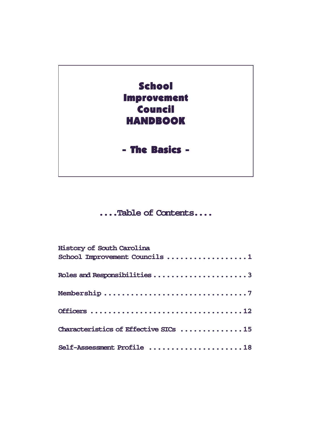

# **....Table of Contents....**

| History of South Carolina<br>School Improvement Councils 1 |
|------------------------------------------------------------|
| Roles and Responsibilities 3                               |
|                                                            |
|                                                            |
| Characteristics of Effective SICs 15                       |
| Self-Assessment Profile 18                                 |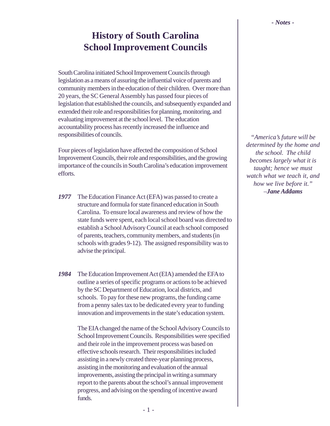# **History of South Carolina School Improvement Councils**

South Carolina initiated School Improvement Councils through legislation as a means of assuring the influential voice of parents and community members in the education of their children. Over more than 20 years, the SC General Assembly has passed four pieces of legislation that established the councils, and subsequently expanded and extended their role and responsibilities for planning, monitoring, and evaluating improvement at the school level. The education accountability process has recently increased the influence and responsibilities of councils.

Four pieces of legislation have affected the composition of School Improvement Councils, their role and responsibilities, and the growing importance of the councils in South Carolina's education improvement efforts.

- *1977* The Education Finance Act (EFA) was passed to create a structure and formula for state financed education in South Carolina. To ensure local awareness and review of how the state funds were spent, each local school board was directed to establish a School Advisory Council at each school composed of parents, teachers, community members, and students (in schools with grades 9-12). The assigned responsibility was to advise the principal.
- *1984* The Education Improvement Act (EIA) amended the EFA to outline a series of specific programs or actions to be achieved by the SC Department of Education, local districts, and schools. To pay for these new programs, the funding came from a penny sales tax to be dedicated every year to funding innovation and improvements in the state's education system.

The EIA changed the name of the School Advisory Councils to School Improvement Councils. Responsibilities were specified and their role in the improvement process was based on effective schools research. Their responsibilities included assisting in a newly created three-year planning process, assisting in the monitoring and evaluation of the annual improvements, assisting the principal in writing a summary report to the parents about the school's annual improvement progress, and advising on the spending of incentive award funds.

*"America's future will be determined by the home and the school. The child becomes largely what it is taught; hence we must watch what we teach it, and how we live before it." –Jane Addams*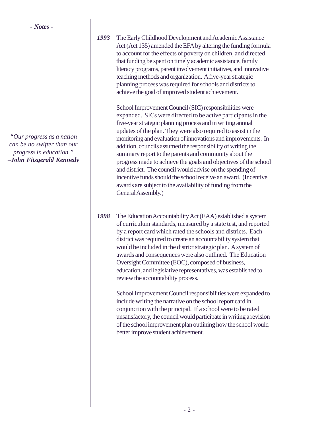*"Our progress as a nation can be no swifter than our progress in education." –John Fitzgerald Kennedy* *1993* The Early Childhood Development and Academic Assistance Act (Act 135) amended the EFA by altering the funding formula to account for the effects of poverty on children, and directed that funding be spent on timely academic assistance, family literacy programs, parent involvement initiatives, and innovative teaching methods and organization. A five-year strategic planning process was required for schools and districts to achieve the goal of improved student achievement.

> School Improvement Council (SIC) responsibilities were expanded. SICs were directed to be active participants in the five-year strategic planning process and in writing annual updates of the plan. They were also required to assist in the monitoring and evaluation of innovations and improvements. In addition, councils assumed the responsibility of writing the summary report to the parents and community about the progress made to achieve the goals and objectives of the school and district. The council would advise on the spending of incentive funds should the school receive an award. (Incentive awards are subject to the availability of funding from the General Assembly.)

*1998* The Education Accountability Act (EAA) established a system of curriculum standards, measured by a state test, and reported by a report card which rated the schools and districts. Each district was required to create an accountability system that would be included in the district strategic plan. A system of awards and consequences were also outlined. The Education Oversight Committee (EOC), composed of business, education, and legislative representatives, was established to review the accountability process.

> School Improvement Council responsibilities were expanded to include writing the narrative on the school report card in conjunction with the principal. If a school were to be rated unsatisfactory, the council would participate in writing a revision of the school improvement plan outlining how the school would better improve student achievement.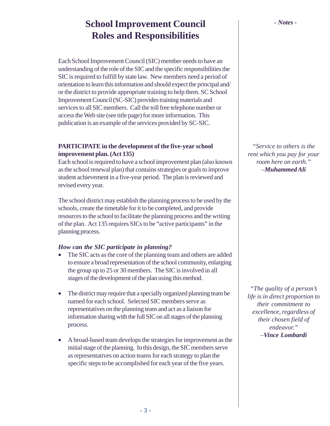# **School Improvement Council** *- Notes -* **Roles and Responsibilities**

Each School Improvement Council (SIC) member needs to have an understanding of the role of the SIC and the specific responsibilities the SIC is required to fulfill by state law. New members need a period of orientation to learn this information and should expect the principal and/ or the district to provide appropriate training to help them. SC School Improvement Council (SC-SIC) provides training materials and services to all SIC members. Call the toll free telephone number or access the Web site (see title page) for more information. This publication is an example of the services provided by SC-SIC.

#### **PARTICIPATE in the development of the five-year school improvement plan. (Act 135)**

Each school is required to have a school improvement plan (also known as the school renewal plan) that contains strategies or goals to improve student achievement in a five-year period. The plan is reviewed and revised every year.

The school district may establish the planning process to be used by the schools, create the timetable for it to be completed, and provide resources to the school to facilitate the planning process and the writing of the plan. Act 135 requires SICs to be "active participants" in the planning process.

#### *How can the SIC participate in planning?*

- The SIC acts as the core of the planning team and others are added to ensure a broad representation of the school community, enlarging the group up to 25 or 30 members. The SIC is involved in all stages of the development of the plan using this method.
- The district may require that a specially organized planning team be named for each school. Selected SIC members serve as representatives on the planning team and act as a liaison for information sharing with the full SIC on all stages of the planning process.
- A broad-based team develops the strategies for improvement as the initial stage of the planning. In this design, the SIC members serve as representatives on action teams for each strategy to plan the specific steps to be accomplished for each year of the five years.

*"Service to others is the rent which you pay for your room here on earth." –Muhammed Ali*

*"The quality of a person's life is in direct proportion to their commitment to excellence, regardless of their chosen field of endeavor." –Vince Lombardi*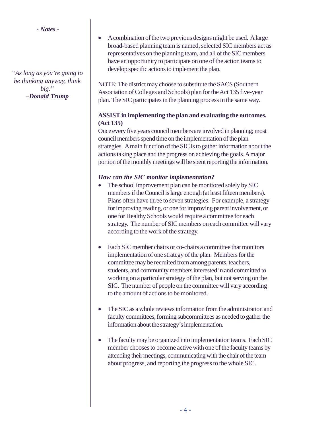*"As long as you're going to be thinking anyway, think big." –Donald Trump*

• A combination of the two previous designs might be used. A large broad-based planning team is named, selected SIC members act as representatives on the planning team, and all of the SIC members have an opportunity to participate on one of the action teams to develop specific actions to implement the plan.

NOTE: The district may choose to substitute the SACS (Southern Association of Colleges and Schools) plan for the Act 135 five-year plan. The SIC participates in the planning process in the same way.

#### **ASSIST in implementing the plan and evaluating the outcomes. (Act 135)**

Once every five years council members are involved in planning; most council members spend time on the implementation of the plan strategies. A main function of the SIC is to gather information about the actions taking place and the progress on achieving the goals. A major portion of the monthly meetings will be spent reporting the information.

#### *How can the SIC monitor implementation?*

- The school improvement plan can be monitored solely by SIC members if the Council is large enough (at least fifteen members). Plans often have three to seven strategies. For example, a strategy for improving reading, or one for improving parent involvement, or one for Healthy Schools would require a committee for each strategy. The number of SIC members on each committee will vary according to the work of the strategy.
- Each SIC member chairs or co-chairs a committee that monitors implementation of one strategy of the plan. Members for the committee may be recruited from among parents, teachers, students, and community members interested in and committed to working on a particular strategy of the plan, but not serving on the SIC. The number of people on the committee will vary according to the amount of actions to be monitored.
- The SIC as a whole reviews information from the administration and faculty committees, forming subcommittees as needed to gather the information about the strategy's implementation.
- The faculty may be organized into implementation teams. Each SIC member chooses to become active with one of the faculty teams by attending their meetings, communicating with the chair of the team about progress, and reporting the progress to the whole SIC.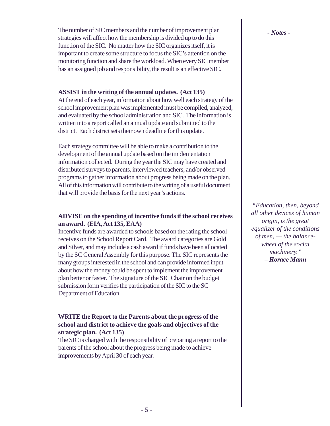The number of SIC members and the number of improvement plan strategies will affect how the membership is divided up to do this function of the SIC. No matter how the SIC organizes itself, it is important to create some structure to focus the SIC's attention on the monitoring function and share the workload. When every SIC member has an assigned job and responsibility, the result is an effective SIC.

#### **ASSIST in the writing of the annual updates. (Act 135)**

At the end of each year, information about how well each strategy of the school improvement plan was implemented must be compiled, analyzed, and evaluated by the school administration and SIC. The information is written into a report called an annual update and submitted to the district. Each district sets their own deadline for this update.

Each strategy committee will be able to make a contribution to the development of the annual update based on the implementation information collected. During the year the SIC may have created and distributed surveys to parents, interviewed teachers, and/or observed programs to gather information about progress being made on the plan. All of this information will contribute to the writing of a useful document that will provide the basis for the next year's actions.

#### **ADVISE on the spending of incentive funds if the school receives an award. (EIA, Act 135, EAA)**

Incentive funds are awarded to schools based on the rating the school receives on the School Report Card. The award categories are Gold and Silver, and may include a cash award if funds have been allocated by the SC General Assembly for this purpose. The SIC represents the many groups interested in the school and can provide informed input about how the money could be spent to implement the improvement plan better or faster. The signature of the SIC Chair on the budget submission form verifies the participation of the SIC to the SC Department of Education.

#### **WRITE the Report to the Parents about the progress of the school and district to achieve the goals and objectives of the strategic plan. (Act 135)**

The SIC is charged with the responsibility of preparing a report to the parents of the school about the progress being made to achieve improvements by April 30 of each year.

*"Education, then, beyond all other devices of human origin, is the great equalizer of the conditions of men, — the balancewheel of the social machinery." – Horace Mann*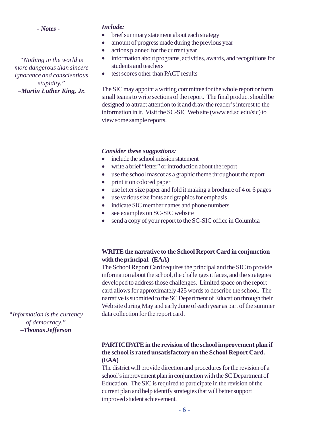*"Nothing in the world is more dangerous than sincere ignorance and conscientious stupidity." –Martin Luther King, Jr.*

#### *Include:*

- brief summary statement about each strategy
- amount of progress made during the previous year
- actions planned for the current year
- information about programs, activities, awards, and recognitions for students and teachers
- test scores other than PACT results

The SIC may appoint a writing committee for the whole report or form small teams to write sections of the report. The final product should be designed to attract attention to it and draw the reader's interest to the information in it. Visit the SC-SIC Web site (www.ed.sc.edu/sic) to view some sample reports.

#### *Consider these suggestions:*

- include the school mission statement
- write a brief "letter" or introduction about the report
- use the school mascot as a graphic theme throughout the report
- print it on colored paper
- use letter size paper and fold it making a brochure of 4 or 6 pages
- use various size fonts and graphics for emphasis
- indicate SIC member names and phone numbers
- see examples on SC-SIC website
- send a copy of your report to the SC-SIC office in Columbia

#### **WRITE the narrative to the School Report Card in conjunction with the principal. (EAA)**

The School Report Card requires the principal and the SIC to provide information about the school, the challenges it faces, and the strategies developed to address those challenges. Limited space on the report card allows for approximately 425 words to describe the school. The narrative is submitted to the SC Department of Education through their Web site during May and early June of each year as part of the summer data collection for the report card.

#### **PARTICIPATE in the revision of the school improvement plan if the school is rated unsatisfactory on the School Report Card. (EAA)**

The district will provide direction and procedures for the revision of a school's improvement plan in conjunction with the SC Department of Education. The SIC is required to participate in the revision of the current plan and help identify strategies that will better support improved student achievement.

*"Information is the currency of democracy." –Thomas Jefferson*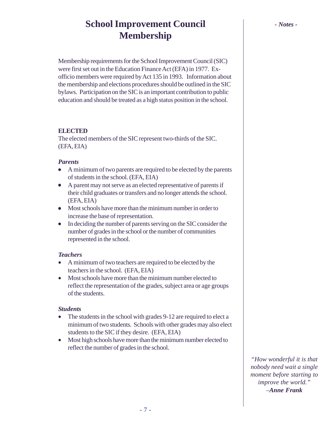# **School Improvement Council** *- Notes -* **Membership**

Membership requirements for the School Improvement Council (SIC) were first set out in the Education Finance Act (EFA) in 1977. Exofficio members were required by Act 135 in 1993. Information about the membership and elections procedures should be outlined in the SIC bylaws. Participation on the SIC is an important contribution to public education and should be treated as a high status position in the school.

#### **ELECTED**

The elected members of the SIC represent two-thirds of the SIC. (EFA, EIA)

#### *Parents*

- A minimum of two parents are required to be elected by the parents of students in the school. (EFA, EIA)
- A parent may not serve as an elected representative of parents if their child graduates or transfers and no longer attends the school. (EFA, EIA)
- Most schools have more than the minimum number in order to increase the base of representation.
- In deciding the number of parents serving on the SIC consider the number of grades in the school or the number of communities represented in the school.

#### *Teachers*

- A minimum of two teachers are required to be elected by the teachers in the school. (EFA, EIA)
- Most schools have more than the minimum number elected to reflect the representation of the grades, subject area or age groups of the students.

#### *Students*

- The students in the school with grades 9-12 are required to elect a minimum of two students. Schools with other grades may also elect students to the SIC if they desire. (EFA, EIA)
- Most high schools have more than the minimum number elected to reflect the number of grades in the school.

*"How wonderful it is that nobody need wait a single moment before starting to improve the world." –Anne Frank*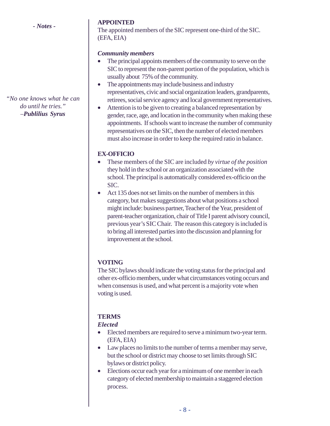*"No one knows what he can do until he tries." –Publilius Syrus*

#### **APPOINTED**

The appointed members of the SIC represent one-third of the SIC. (EFA, EIA)

#### *Community members*

- The principal appoints members of the community to serve on the SIC to represent the non-parent portion of the population, which is usually about 75% of the community.
- The appointments may include business and industry representatives, civic and social organization leaders, grandparents, retirees, social service agency and local government representatives.
- Attention is to be given to creating a balanced representation by gender, race, age, and location in the community when making these appointments. If schools want to increase the number of community representatives on the SIC, then the number of elected members must also increase in order to keep the required ratio in balance.

#### **EX-OFFICIO**

- These members of the SIC are included *by virtue of the position* they hold in the school or an organization associated with the school. The principal is automatically considered ex-officio on the SIC.
- Act 135 does not set limits on the number of members in this category, but makes suggestions about what positions a school might include: business partner, Teacher of the Year, president of parent-teacher organization, chair of Title I parent advisory council, previous year's SIC Chair. The reason this category is included is to bring all interested parties into the discussion and planning for improvement at the school.

#### **VOTING**

The SIC bylaws should indicate the voting status for the principal and other ex-officio members, under what circumstances voting occurs and when consensus is used, and what percent is a majority vote when voting is used.

#### **TERMS**

#### *Elected*

- Elected members are required to serve a minimum two-year term. (EFA, EIA)
- Law places no limits to the number of terms a member may serve, but the school or district may choose to set limits through SIC bylaws or district policy.
- Elections occur each year for a minimum of one member in each category of elected membership to maintain a staggered election process.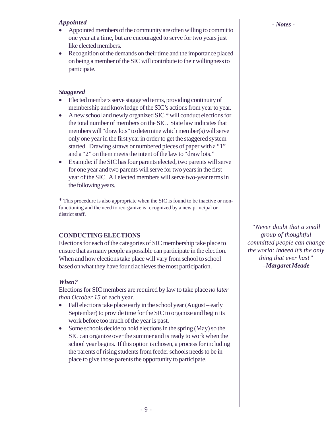#### *Appointed*

- Appointed members of the community are often willing to commit to one year at a time, but are encouraged to serve for two years just like elected members.
- Recognition of the demands on their time and the importance placed on being a member of the SIC will contribute to their willingness to participate.

#### *Staggered*

- Elected members serve staggered terms, providing continuity of membership and knowledge of the SIC's actions from year to year.
- A new school and newly organized SIC  $*$  will conduct elections for the total number of members on the SIC. State law indicates that members will "draw lots" to determine which member(s) will serve only one year in the first year in order to get the staggered system started. Drawing straws or numbered pieces of paper with a "1" and a "2" on them meets the intent of the law to "draw lots."
- Example: if the SIC has four parents elected, two parents will serve for one year and two parents will serve for two years in the first year of the SIC. All elected members will serve two-year terms in the following years.

\* This procedure is also appropriate when the SIC is found to be inactive or nonfunctioning and the need to reorganize is recognized by a new principal or district staff.

#### **CONDUCTING ELECTIONS**

Elections for each of the categories of SIC membership take place to ensure that as many people as possible can participate in the election. When and how elections take place will vary from school to school based on what they have found achieves the most participation.

#### *When?*

Elections for SIC members are required by law to take place *no later than October 15* of each year.

- Fall elections take place early in the school year (August early September) to provide time for the SIC to organize and begin its work before too much of the year is past.
- Some schools decide to hold elections in the spring (May) so the SIC can organize over the summer and is ready to work when the school year begins. If this option is chosen, a process for including the parents of rising students from feeder schools needs to be in place to give those parents the opportunity to participate.

*"Never doubt that a small group of thoughtful committed people can change the world: indeed it's the only thing that ever has!" –Margaret Meade*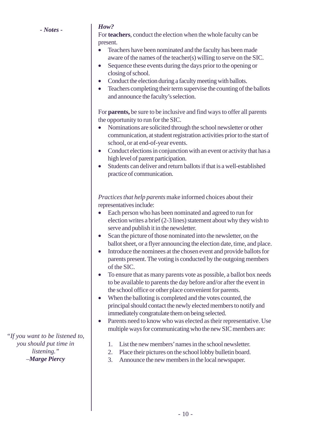#### *How?*

For **teachers**, conduct the election when the whole faculty can be present.

- Teachers have been nominated and the faculty has been made aware of the names of the teacher(s) willing to serve on the SIC.
- Sequence these events during the days prior to the opening or closing of school.
- Conduct the election during a faculty meeting with ballots.
- Teachers completing their term supervise the counting of the ballots and announce the faculty's selection.

For **parents,** be sure to be inclusive and find ways to offer all parents the opportunity to run for the SIC.

- Nominations are solicited through the school newsletter or other communication, at student registration activities prior to the start of school, or at end-of-year events.
- Conduct elections in conjunction with an event or activity that has a high level of parent participation.
- Students can deliver and return ballots if that is a well-established practice of communication.

*Practices that help parents* make informed choices about their representatives include:

- Each person who has been nominated and agreed to run for election writes a brief (2-3 lines) statement about why they wish to serve and publish it in the newsletter.
- Scan the picture of those nominated into the newsletter, on the ballot sheet, or a flyer announcing the election date, time, and place.
- Introduce the nominees at the chosen event and provide ballots for parents present. The voting is conducted by the outgoing members of the SIC.
- To ensure that as many parents vote as possible, a ballot box needs to be available to parents the day before and/or after the event in the school office or other place convenient for parents.
- When the balloting is completed and the votes counted, the principal should contact the newly elected members to notify and immediately congratulate them on being selected.
- Parents need to know who was elected as their representative. Use multiple ways for communicating who the new SIC members are:
	- 1. List the new members' names in the school newsletter.
	- 2. Place their pictures on the school lobby bulletin board.
	- 3. Announce the new members in the local newspaper.

*"If you want to be listened to, you should put time in listening." –Marge Piercy*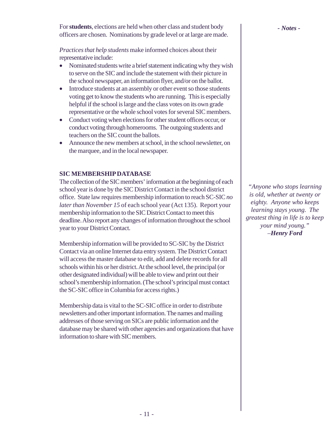*Practices that help students* make informed choices about their representative include:

- Nominated students write a brief statement indicating why they wish to serve on the SIC and include the statement with their picture in the school newspaper, an information flyer, and/or on the ballot.
- Introduce students at an assembly or other event so those students voting get to know the students who are running. This is especially helpful if the school is large and the class votes on its own grade representative or the whole school votes for several SIC members.
- Conduct voting when elections for other student offices occur, or conduct voting through homerooms. The outgoing students and teachers on the SIC count the ballots.
- Announce the new members at school, in the school newsletter, on the marquee, and in the local newspaper.

#### **SIC MEMBERSHIP DATABASE**

The collection of the SIC members' information at the beginning of each school year is done by the SIC District Contact in the school district office. State law requires membership information to reach SC-SIC *no later than November 15* of each school year (Act 135). Report your membership information to the SIC District Contact to meet this deadline. Also report any changes of information throughout the school year to your District Contact.

Membership information will be provided to SC-SIC by the District Contact via an online Internet data entry system. The District Contact will access the master database to edit, add and delete records for all schools within his or her district. At the school level, the principal (or other designated individual) will be able to view and print out their school's membership information. (The school's principal must contact the SC-SIC office in Columbia for access rights.)

Membership data is vital to the SC-SIC office in order to distribute newsletters and other important information. The names and mailing addresses of those serving on SICs are public information and the database may be shared with other agencies and organizations that have information to share with SIC members.

*"Anyone who stops learning is old, whether at twenty or eighty. Anyone who keeps learning stays young. The greatest thing in life is to keep your mind young." –Henry Ford*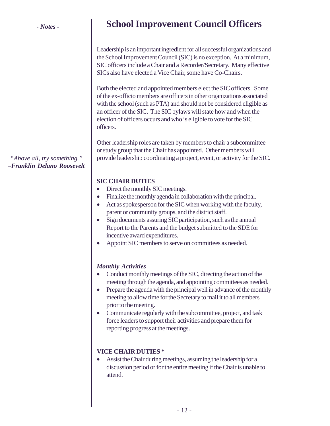# **School Improvement Council Officers**

Leadership is an important ingredient for all successful organizations and the School Improvement Council (SIC) is no exception. At a minimum, SIC officers include a Chair and a Recorder/Secretary. Many effective SICs also have elected a Vice Chair, some have Co-Chairs.

Both the elected and appointed members elect the SIC officers. Some of the ex-officio members are officers in other organizations associated with the school (such as PTA) and should not be considered eligible as an officer of the SIC. The SIC bylaws will state how and when the election of officers occurs and who is eligible to vote for the SIC officers.

Other leadership roles are taken by members to chair a subcommittee or study group that the Chair has appointed. Other members will provide leadership coordinating a project, event, or activity for the SIC.

#### **SIC CHAIR DUTIES**

- Direct the monthly SIC meetings.
- Finalize the monthly agenda in collaboration with the principal.
- Act as spokesperson for the SIC when working with the faculty, parent or community groups, and the district staff.
- Sign documents assuring SIC participation, such as the annual Report to the Parents and the budget submitted to the SDE for incentive award expenditures.
- Appoint SIC members to serve on committees as needed.

#### *Monthly Activities*

- Conduct monthly meetings of the SIC, directing the action of the meeting through the agenda, and appointing committees as needed.
- Prepare the agenda with the principal well in advance of the monthly meeting to allow time for the Secretary to mail it to all members prior to the meeting.
- Communicate regularly with the subcommittee, project, and task force leaders to support their activities and prepare them for reporting progress at the meetings.

#### **VICE CHAIR DUTIES \***

• Assist the Chair during meetings, assuming the leadership for a discussion period or for the entire meeting if the Chair is unable to attend.

*"Above all, try something." –Franklin Delano Roosevelt*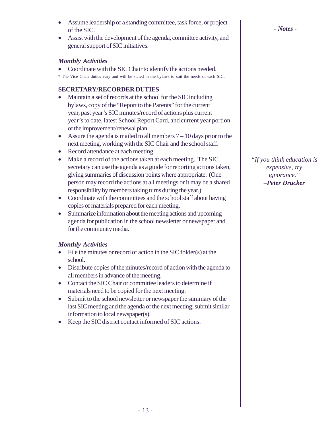- Assume leadership of a standing committee, task force, or project of the SIC.
- Assist with the development of the agenda, committee activity, and general support of SIC initiatives.

#### *Monthly Activities*

- Coordinate with the SIC Chair to identify the actions needed.
- \* The Vice Chair duties vary and will be stated in the bylaws to suit the needs of each SIC.

#### **SECRETARY/RECORDER DUTIES**

- Maintain a set of records at the school for the SIC including bylaws, copy of the "Report to the Parents" for the current year, past year's SIC minutes/record of actions plus current year's to date, latest School Report Card, and current year portion of the improvement/renewal plan.
- Assure the agenda is mailed to all members  $7 10$  days prior to the next meeting, working with the SIC Chair and the school staff.
- Record attendance at each meeting.
- Make a record of the actions taken at each meeting. The SIC secretary can use the agenda as a guide for reporting actions taken, giving summaries of discussion points where appropriate. (One person may record the actions at all meetings or it may be a shared responsibility by members taking turns during the year.)
- Coordinate with the committees and the school staff about having copies of materials prepared for each meeting.
- Summarize information about the meeting actions and upcoming agenda for publication in the school newsletter or newspaper and for the community media.

#### *Monthly Activities*

- File the minutes or record of action in the SIC folder(s) at the school.
- Distribute copies of the minutes/record of action with the agenda to all members in advance of the meeting.
- Contact the SIC Chair or committee leaders to determine if materials need to be copied for the next meeting.
- Submit to the school newsletter or newspaper the summary of the last SIC meeting and the agenda of the next meeting; submit similar information to local newspaper(s).
- Keep the SIC district contact informed of SIC actions.

*- Notes -*

*"If you think education is expensive, try ignorance." –Peter Drucker*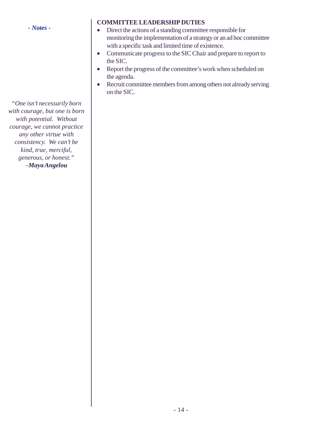*"One isn't necessarily born with courage, but one is born with potential. Without courage, we cannot practice any other virtue with consistency. We can't be kind, true, merciful, generous, or honest." –Maya Angelou*

#### **COMMITTEE LEADERSHIP DUTIES**

- Direct the actions of a standing committee responsible for monitoring the implementation of a strategy or an ad hoc committee with a specific task and limited time of existence.
- Communicate progress to the SIC Chair and prepare to report to the SIC.
- Report the progress of the committee's work when scheduled on the agenda.
- Recruit committee members from among others not already serving on the SIC.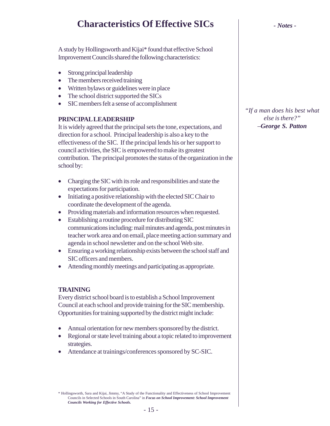# **Characteristics Of Effective SICs** *- Notes -*

A study by Hollingsworth and Kijai\* found that effective School Improvement Councils shared the following characteristics:

- Strong principal leadership
- The members received training
- Written by laws or guidelines were in place
- The school district supported the SICs
- SIC members felt a sense of accomplishment

#### **PRINCIPAL LEADERSHIP**

It is widely agreed that the principal sets the tone, expectations, and direction for a school. Principal leadership is also a key to the effectiveness of the SIC. If the principal lends his or her support to council activities, the SIC is empowered to make its greatest contribution. The principal promotes the status of the organization in the school by:

- Charging the SIC with its role and responsibilities and state the expectations for participation.
- Initiating a positive relationship with the elected SIC Chair to coordinate the development of the agenda.
- Providing materials and information resources when requested.
- Establishing a routine procedure for distributing SIC communications including: mail minutes and agenda, post minutes in teacher work area and on email, place meeting action summary and agenda in school newsletter and on the school Web site.
- Ensuring a working relationship exists between the school staff and SIC officers and members.
- Attending monthly meetings and participating as appropriate.

#### **TRAINING**

Every district school board is to establish a School Improvement Council at each school and provide training for the SIC membership. Opportunities for training supported by the district might include:

- Annual orientation for new members sponsored by the district.
- Regional or state level training about a topic related to improvement strategies.
- Attendance at trainings/conferences sponsored by SC-SIC.

\* Hollingsworth, Sara and Kijai, Jimmy, "A Study of the Functionality and Effectiveness of School Improvement Councils in Selected Schools in South Carolina" in *Focus on School Improvement: School Improvement Councils Working for Effective Schools***.**

*"If a man does his best what else is there?" –George S. Patton*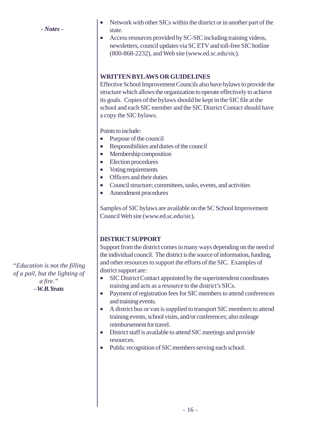- *Notes -*
- Network with other SICs within the district or in another part of the state.
- Access resources provided by SC-SIC including training videos, newsletters, council updates via SC ETV and toll-free SIC hotline (800-868-2232), and Web site (www.ed.sc.edu/sic).

#### **WRITTEN BYLAWS OR GUIDELINES**

Effective School Improvement Councils also have bylaws to provide the structure which allows the organization to operate effectively to achieve its goals. Copies of the bylaws should be kept in the SIC file at the school and each SIC member and the SIC District Contact should have a copy the SIC bylaws.

Points to include:

- Purpose of the council
- Responsibilities and duties of the council
- Membership composition
- Election procedures
- Voting requirements
- Officers and their duties
- Council structure; committees, tasks, events, and activities
- Amendment procedures

Samples of SIC bylaws are available on the SC School Improvement Council Web site (www.ed.sc.edu/sic).

#### **DISTRICT SUPPORT**

Support from the district comes in many ways depending on the need of the individual council. The district is the source of information, funding, and other resources to support the efforts of the SIC. Examples of district support are:

- SIC District Contact appointed by the superintendent coordinates training and acts as a resource to the district's SICs.
- Payment of registration fees for SIC members to attend conferences and training events.
- A district bus or van is supplied to transport SIC members to attend training events, school visits, and/or conferences; also mileage reimbursement for travel.
- District staff is available to attend SIC meetings and provide resources.
- Public recognition of SIC members serving each school.

*"Education is not the filling of a pail, but the lighting of a fire." –W.B.Yeats*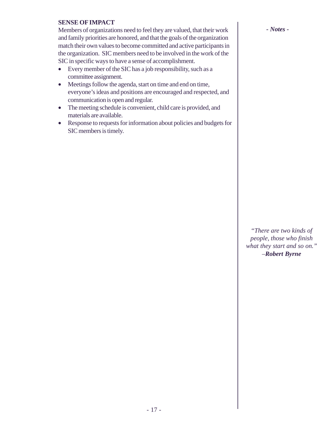#### **SENSE OF IMPACT**

Members of organizations need to feel they are valued, that their work and family priorities are honored, and that the goals of the organization match their own values to become committed and active participants in the organization. SIC members need to be involved in the work of the SIC in specific ways to have a sense of accomplishment.

- Every member of the SIC has a job responsibility, such as a committee assignment.
- Meetings follow the agenda, start on time and end on time, everyone's ideas and positions are encouraged and respected, and communication is open and regular.
- The meeting schedule is convenient, child care is provided, and materials are available.
- Response to requests for information about policies and budgets for SIC members is timely.

*"There are two kinds of people, those who finish what they start and so on." –Robert Byrne*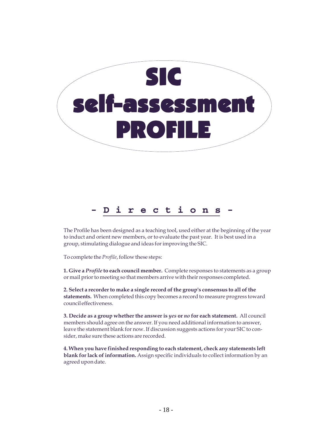

## **-Directions-**

The Profile has been designed as a teaching tool, used either at the beginning of the year to induct and orient new members, or to evaluate the past year. It is best used in a group, stimulating dialogue and ideas for improving the SIC.

To complete the *Profile*, follow these steps:

**1. Give a** *Profile* **to each council member.** Complete responses to statements as a group or mail prior to meeting so that members arrive with their responses completed.

**2. Select a recorder to make a single record of the group's consensus to all of the statements.** When completed this copy becomes a record to measure progress toward council effectiveness.

**3. Decide as a group whether the answer is** *yes* **or** *no* **for each statement.** All council members should agree on the answer. If you need additional information to answer, leave the statement blank for now. If discussion suggests actions for your SIC to consider, make sure these actions are recorded.

**4. When you have finished responding to each statement, check any statements left blank for lack of information.** Assign specific individuals to collect information by an agreed upon date.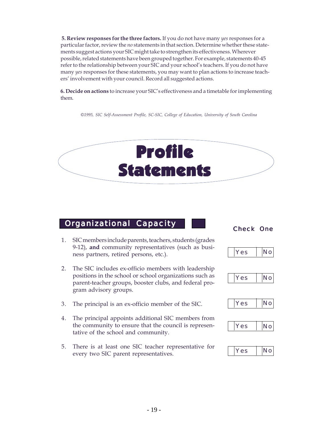**5. Review responses for the three factors.** If you do not have many *yes* responses for a particular factor, review the *no* statements in that section. Determine whether these statements suggest actions your SIC might take to strengthen its effectiveness. Wherever possible, related statements have been grouped together. For example, statements 40-45 refer to the relationship between your SIC and your school's teachers. If you do not have many *yes* responses for these statements, you may want to plan actions to increase teachers' involvement with your council. Record all suggested actions.

**6. Decide on actions** to increase your SIC's effectiveness and a timetable for implementing them.

*©1995, SIC Self-Assessment Profile, SC-SIC, College of Education, University of South Carolina*



# **Organizational Capacity | Check One**

- 1. SIC members include parents, teachers, students (grades 9-12), **and** community representatives (such as business partners, retired persons, etc.).
- 2. The SIC includes ex-officio members with leadership positions in the school or school organizations such as parent-teacher groups, booster clubs, and federal program advisory groups.
- 3. The principal is an ex-officio member of the SIC.
- 4. The principal appoints additional SIC members from the community to ensure that the council is representative of the school and community.
- 5. There is at least one SIC teacher representative for every two SIC parent representatives.









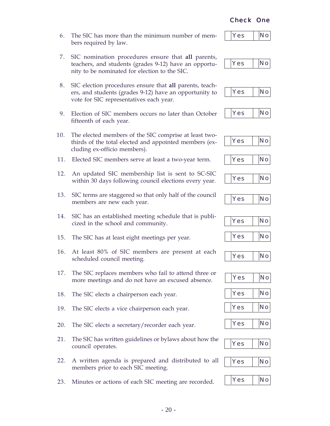#### - 20 -

#### 6. The SIC has more than the minimum number of members required by law.

- 7. SIC nomination procedures ensure that **all** parents, teachers, and students (grades 9-12) have an opportunity to be nominated for election to the SIC.
- 8. SIC election procedures ensure that **all** parents, teachers, and students (grades 9-12) have an opportunity to vote for SIC representatives each year.
- 9. Election of SIC members occurs no later than October fifteenth of each year.

#### 10. The elected members of the SIC comprise at least twothirds of the total elected and appointed members (excluding ex-officio members).

- 11. Elected SIC members serve at least a two-year term.
- 12. An updated SIC membership list is sent to SC-SIC within 30 days following council elections every year.
- 13. SIC terms are staggered so that only half of the council members are new each year.
- 14. SIC has an established meeting schedule that is publicized in the school and community.
- 15. The SIC has at least eight meetings per year.
- 16. At least 80% of SIC members are present at each scheduled council meeting.
- 17. The SIC replaces members who fail to attend three or more meetings and do not have an excused absence.
- 18. The SIC elects a chairperson each year.
- 19. The SIC elects a vice chairperson each year.
- 20. The SIC elects a secretary/recorder each year.
- 21. The SIC has written guidelines or bylaws about how the council operates.
- 22. A written agenda is prepared and distributed to all members prior to each SIC meeting.
- 23. Minutes or actions of each SIC meeting are recorded. Yes No





























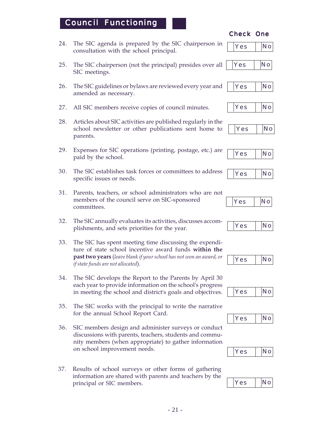### Council Functioning

- 24. The SIC agenda is prepared by the SIC chairperson in consultation with the school principal.
- 25. The SIC chairperson (not the principal) presides over all SIC meetings.
- 26. The SIC guidelines or bylaws are reviewed every year and amended as necessary.
- 27. All SIC members receive copies of council minutes.
- 28. Articles about SIC activities are published regularly in the school newsletter or other publications sent home to parents.
- 29. Expenses for SIC operations (printing, postage, etc.) are paid by the school.
- 30. The SIC establishes task forces or committees to address specific issues or needs.
- 31. Parents, teachers, or school administrators who are not members of the council serve on SIC-sponsored committees.
- 32. The SIC annually evaluates its activities, discusses accomplishments, and sets priorities for the year.
- 33. The SIC has spent meeting time discussing the expenditure of state school incentive award funds **within the past two years** (*leave blank if your school has not won an award, or if state funds are not allocated*).
- 34. The SIC develops the Report to the Parents by April 30 each year to provide information on the school's progress in meeting the school and district's goals and objectives.
- 35. The SIC works with the principal to write the narrative for the annual School Report Card.
- 36. SIC members design and administer surveys or conduct discussions with parents, teachers, students and community members (when appropriate) to gather information on school improvement needs.
- 37. Results of school surveys or other forms of gathering information are shared with parents and teachers by the principal or SIC members. Yes No



























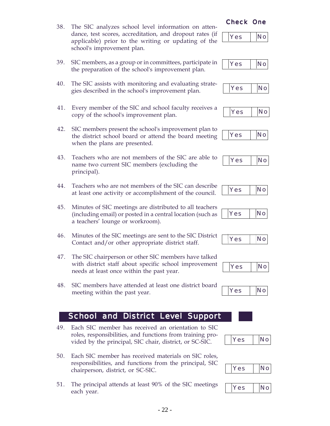- 38. The SIC analyzes school level information on attendance, test scores, accreditation, and dropout rates (if applicable) prior to the writing or updating of the school's improvement plan.
- 39. SIC members, as a group or in committees, participate in the preparation of the school's improvement plan.
- 40. The SIC assists with monitoring and evaluating strategies described in the school's improvement plan.
- 41. Every member of the SIC and school faculty receives a copy of the school's improvement plan.
- 42. SIC members present the school's improvement plan to the district school board or attend the board meeting when the plans are presented.
- 43. Teachers who are not members of the SIC are able to name two current SIC members (excluding the principal).
- 44. Teachers who are not members of the SIC can describe at least one activity or accomplishment of the council.
- 45. Minutes of SIC meetings are distributed to all teachers (including email) or posted in a central location (such as a teachers' lounge or workroom).
- 46. Minutes of the SIC meetings are sent to the SIC District Contact and/or other appropriate district staff.
- 47. The SIC chairperson or other SIC members have talked with district staff about specific school improvement needs at least once within the past year.
- 48. SIC members have attended at least one district board meeting within the past year.

#### School and District Level Support

- 49. Each SIC member has received an orientation to SIC roles, responsibilities, and functions from training provided by the principal, SIC chair, district, or SC-SIC.
- 50. Each SIC member has received materials on SIC roles, responsibilities, and functions from the principal, SIC chairperson, district, or SC-SIC.
- 51. The principal attends at least 90% of the SIC meetings each year.



























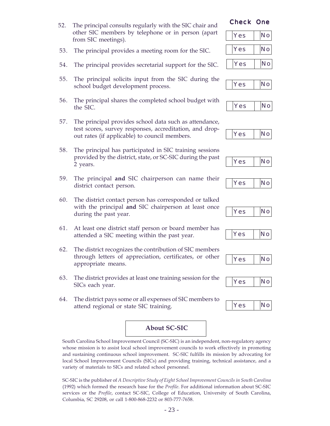- 52. The principal consults regularly with the SIC chair and other SIC members by telephone or in person (apart from SIC meetings).
- 53. The principal provides a meeting room for the SIC.
- 54. The principal provides secretarial support for the SIC.
- 55. The principal solicits input from the SIC during the school budget development process.
- 56. The principal shares the completed school budget with the SIC.
- 57. The principal provides school data such as attendance, test scores, survey responses, accreditation, and dropout rates (if applicable) to council members.
- 58. The principal has participated in SIC training sessions provided by the district, state, or SC-SIC during the past 2 years.
- 59. The principal **and** SIC chairperson can name their district contact person.
- 60. The district contact person has corresponded or talked with the principal **and** SIC chairperson at least once during the past year.
- 61. At least one district staff person or board member has attended a SIC meeting within the past year.
- 62. The district recognizes the contribution of SIC members through letters of appreciation, certificates, or other appropriate means.
- 63. The district provides at least one training session for the SICs each year.
- 64. The district pays some or all expenses of SIC members to attend regional or state SIC training.

# Yes No

**About SC-SIC**

South Carolina School Improvement Council (SC-SIC) is an independent, non-regulatory agency whose mission is to assist local school improvement councils to work effectively in promoting and sustaining continuous school improvement. SC-SIC fulfills its mission by advocating for local School Improvement Councils (SICs) and providing training, technical assistance, and a variety of materials to SICs and related school personnel.

SC-SIC is the publisher of *A Descriptive Study of Eight School Improvement Councils in South Carolina* (1992) which formed the research base for the *Profile*. For additional information about SC-SIC services or the *Profile*, contact SC-SIC, College of Education, University of South Carolina, Columbia, SC 29208, or call 1-800-868-2232 or 803-777-7658.